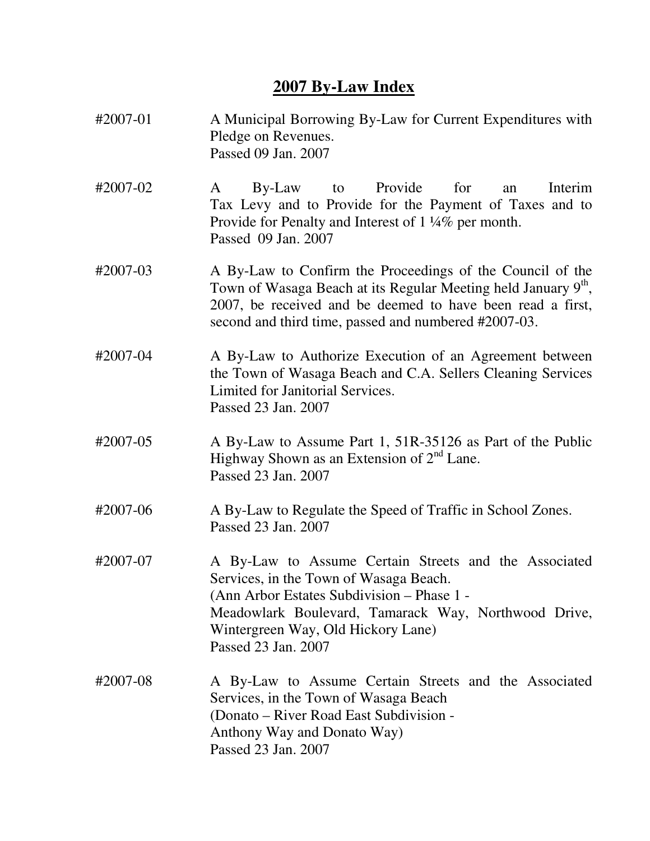## **2007 By-Law Index**

| #2007-01 | A Municipal Borrowing By-Law for Current Expenditures with<br>Pledge on Revenues.<br>Passed 09 Jan. 2007                                                                                                                                                           |
|----------|--------------------------------------------------------------------------------------------------------------------------------------------------------------------------------------------------------------------------------------------------------------------|
| #2007-02 | Provide<br>for<br>Interim<br>By-Law<br>to<br>A<br>an<br>Tax Levy and to Provide for the Payment of Taxes and to<br>Provide for Penalty and Interest of 1 1/4% per month.<br>Passed 09 Jan. 2007                                                                    |
| #2007-03 | A By-Law to Confirm the Proceedings of the Council of the<br>Town of Wasaga Beach at its Regular Meeting held January 9th,<br>2007, be received and be deemed to have been read a first,<br>second and third time, passed and numbered #2007-03.                   |
| #2007-04 | A By-Law to Authorize Execution of an Agreement between<br>the Town of Wasaga Beach and C.A. Sellers Cleaning Services<br>Limited for Janitorial Services.<br>Passed 23 Jan. 2007                                                                                  |
| #2007-05 | A By-Law to Assume Part 1, 51R-35126 as Part of the Public<br>Highway Shown as an Extension of $2nd$ Lane.<br>Passed 23 Jan. 2007                                                                                                                                  |
| #2007-06 | A By-Law to Regulate the Speed of Traffic in School Zones.<br>Passed 23 Jan. 2007                                                                                                                                                                                  |
| #2007-07 | A By-Law to Assume Certain Streets and the Associated<br>Services, in the Town of Wasaga Beach.<br>(Ann Arbor Estates Subdivision - Phase 1 -<br>Meadowlark Boulevard, Tamarack Way, Northwood Drive,<br>Wintergreen Way, Old Hickory Lane)<br>Passed 23 Jan. 2007 |
| #2007-08 | A By-Law to Assume Certain Streets and the Associated<br>Services, in the Town of Wasaga Beach<br>(Donato – River Road East Subdivision -<br>Anthony Way and Donato Way)<br>Passed 23 Jan. 2007                                                                    |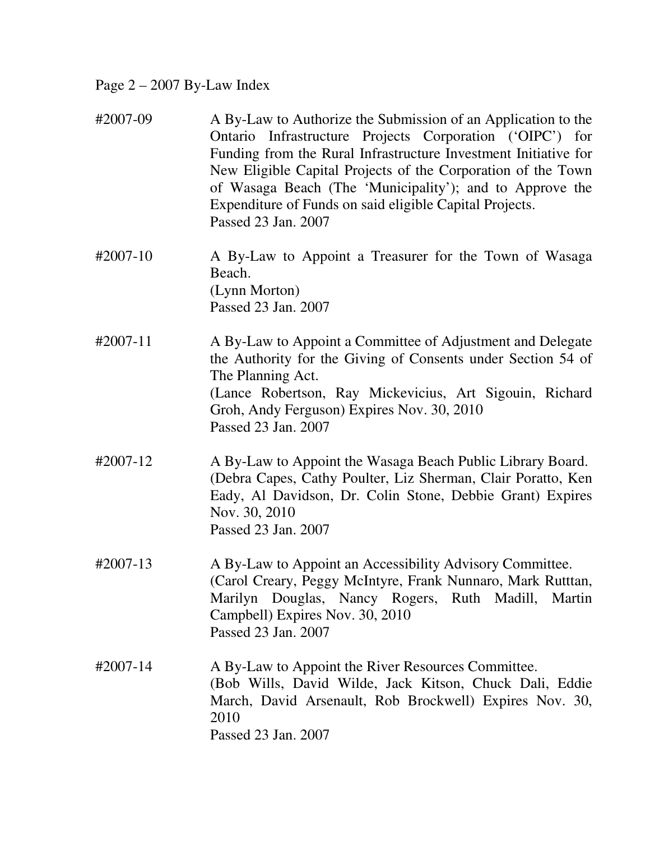## Page 2 – 2007 By-Law Index

| #2007-09 | A By-Law to Authorize the Submission of an Application to the<br>Ontario Infrastructure Projects Corporation ('OIPC') for<br>Funding from the Rural Infrastructure Investment Initiative for<br>New Eligible Capital Projects of the Corporation of the Town<br>of Wasaga Beach (The 'Municipality'); and to Approve the<br>Expenditure of Funds on said eligible Capital Projects.<br>Passed 23 Jan. 2007 |
|----------|------------------------------------------------------------------------------------------------------------------------------------------------------------------------------------------------------------------------------------------------------------------------------------------------------------------------------------------------------------------------------------------------------------|
| #2007-10 | A By-Law to Appoint a Treasurer for the Town of Wasaga<br>Beach.<br>(Lynn Morton)<br>Passed 23 Jan. 2007                                                                                                                                                                                                                                                                                                   |
| #2007-11 | A By-Law to Appoint a Committee of Adjustment and Delegate<br>the Authority for the Giving of Consents under Section 54 of<br>The Planning Act.<br>(Lance Robertson, Ray Mickevicius, Art Sigouin, Richard<br>Groh, Andy Ferguson) Expires Nov. 30, 2010<br>Passed 23 Jan. 2007                                                                                                                            |
| #2007-12 | A By-Law to Appoint the Wasaga Beach Public Library Board.<br>(Debra Capes, Cathy Poulter, Liz Sherman, Clair Poratto, Ken<br>Eady, Al Davidson, Dr. Colin Stone, Debbie Grant) Expires<br>Nov. 30, 2010<br>Passed 23 Jan. 2007                                                                                                                                                                            |
| #2007-13 | A By-Law to Appoint an Accessibility Advisory Committee.<br>(Carol Creary, Peggy McIntyre, Frank Nunnaro, Mark Rutttan,<br>Marilyn Douglas, Nancy Rogers, Ruth Madill, Martin<br>Campbell) Expires Nov. 30, 2010<br>Passed 23 Jan. 2007                                                                                                                                                                    |
| #2007-14 | A By-Law to Appoint the River Resources Committee.<br>(Bob Wills, David Wilde, Jack Kitson, Chuck Dali, Eddie<br>March, David Arsenault, Rob Brockwell) Expires Nov. 30,<br>2010<br>Passed 23 Jan. 2007                                                                                                                                                                                                    |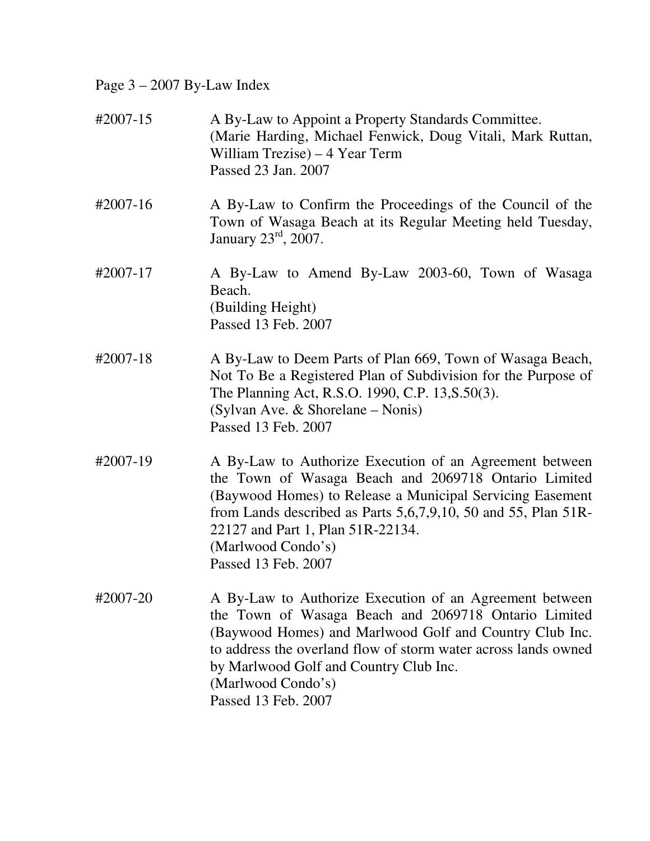Page 3 – 2007 By-Law Index

| #2007-15 | A By-Law to Appoint a Property Standards Committee.<br>(Marie Harding, Michael Fenwick, Doug Vitali, Mark Ruttan,<br>William Trezise) – 4 Year Term<br>Passed 23 Jan. 2007                                                                                                                                                          |
|----------|-------------------------------------------------------------------------------------------------------------------------------------------------------------------------------------------------------------------------------------------------------------------------------------------------------------------------------------|
| #2007-16 | A By-Law to Confirm the Proceedings of the Council of the<br>Town of Wasaga Beach at its Regular Meeting held Tuesday,<br>January $23rd$ , 2007.                                                                                                                                                                                    |
| #2007-17 | A By-Law to Amend By-Law 2003-60, Town of Wasaga<br>Beach.<br>(Building Height)<br>Passed 13 Feb. 2007                                                                                                                                                                                                                              |
| #2007-18 | A By-Law to Deem Parts of Plan 669, Town of Wasaga Beach,<br>Not To Be a Registered Plan of Subdivision for the Purpose of<br>The Planning Act, R.S.O. 1990, C.P. 13, S.50(3).<br>(Sylvan Ave. & Shorelane – Nonis)<br>Passed 13 Feb. 2007                                                                                          |
| #2007-19 | A By-Law to Authorize Execution of an Agreement between<br>the Town of Wasaga Beach and 2069718 Ontario Limited<br>(Baywood Homes) to Release a Municipal Servicing Easement<br>from Lands described as Parts $5,6,7,9,10$ , 50 and 55, Plan 51R-<br>22127 and Part 1, Plan 51R-22134.<br>(Marlwood Condo's)<br>Passed 13 Feb. 2007 |
| #2007-20 | A By-Law to Authorize Execution of an Agreement between<br>the Town of Wasaga Beach and 2069718 Ontario Limited<br>(Baywood Homes) and Marlwood Golf and Country Club Inc.<br>to address the overland flow of storm water across lands owned<br>by Marlwood Golf and Country Club Inc.<br>(Marlwood Condo's)                        |

Passed 13 Feb. 2007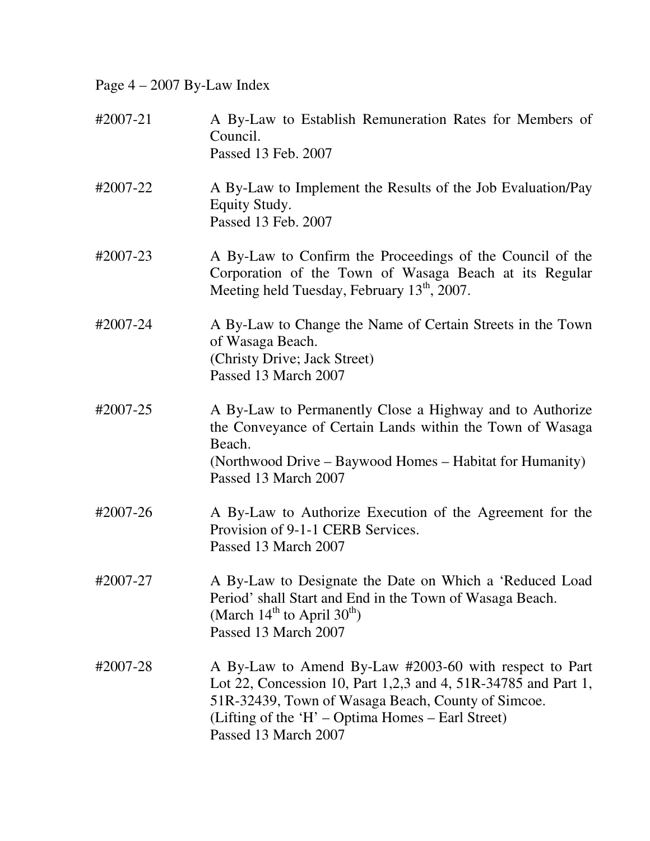Page 4 – 2007 By-Law Index

| #2007-21 | A By-Law to Establish Remuneration Rates for Members of<br>Council.<br>Passed 13 Feb. 2007                                                                                                                                                                  |
|----------|-------------------------------------------------------------------------------------------------------------------------------------------------------------------------------------------------------------------------------------------------------------|
| #2007-22 | A By-Law to Implement the Results of the Job Evaluation/Pay<br>Equity Study.<br>Passed 13 Feb. 2007                                                                                                                                                         |
| #2007-23 | A By-Law to Confirm the Proceedings of the Council of the<br>Corporation of the Town of Wasaga Beach at its Regular<br>Meeting held Tuesday, February 13 <sup>th</sup> , 2007.                                                                              |
| #2007-24 | A By-Law to Change the Name of Certain Streets in the Town<br>of Wasaga Beach.<br>(Christy Drive; Jack Street)<br>Passed 13 March 2007                                                                                                                      |
| #2007-25 | A By-Law to Permanently Close a Highway and to Authorize<br>the Conveyance of Certain Lands within the Town of Wasaga<br>Beach.<br>(Northwood Drive – Baywood Homes – Habitat for Humanity)<br>Passed 13 March 2007                                         |
| #2007-26 | A By-Law to Authorize Execution of the Agreement for the<br>Provision of 9-1-1 CERB Services.<br>Passed 13 March 2007                                                                                                                                       |
| #2007-27 | A By-Law to Designate the Date on Which a 'Reduced Load<br>Period' shall Start and End in the Town of Wasaga Beach.<br>(March $14^{th}$ to April $30^{th}$ )<br>Passed 13 March 2007                                                                        |
| #2007-28 | A By-Law to Amend By-Law #2003-60 with respect to Part<br>Lot 22, Concession 10, Part 1,2,3 and 4, 51R-34785 and Part 1,<br>51R-32439, Town of Wasaga Beach, County of Simcoe.<br>(Lifting of the 'H' – Optima Homes – Earl Street)<br>Passed 13 March 2007 |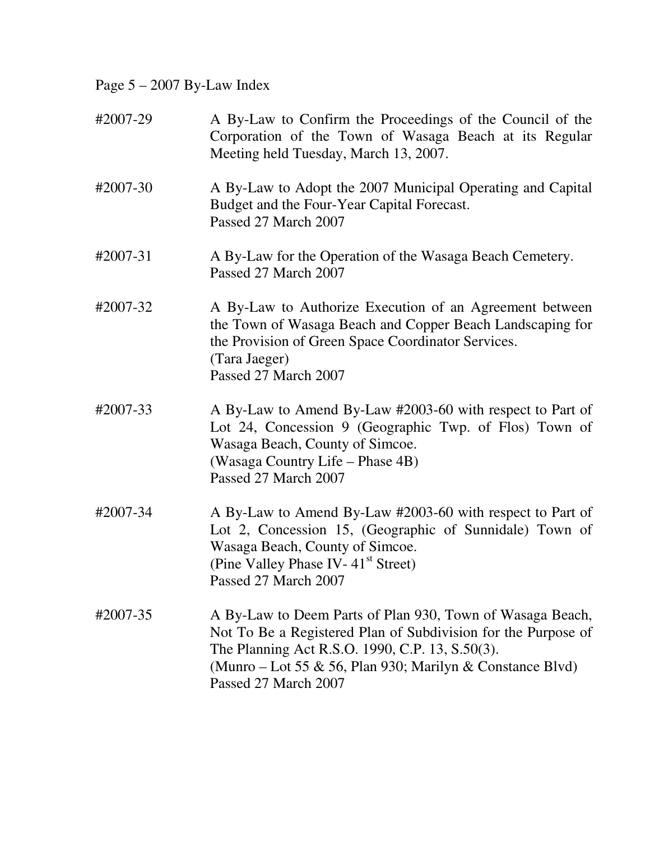Page 5 – 2007 By-Law Index

| #2007-29 | A By-Law to Confirm the Proceedings of the Council of the<br>Corporation of the Town of Wasaga Beach at its Regular<br>Meeting held Tuesday, March 13, 2007.                                                                                                       |
|----------|--------------------------------------------------------------------------------------------------------------------------------------------------------------------------------------------------------------------------------------------------------------------|
| #2007-30 | A By-Law to Adopt the 2007 Municipal Operating and Capital<br>Budget and the Four-Year Capital Forecast.<br>Passed 27 March 2007                                                                                                                                   |
| #2007-31 | A By-Law for the Operation of the Wasaga Beach Cemetery.<br>Passed 27 March 2007                                                                                                                                                                                   |
| #2007-32 | A By-Law to Authorize Execution of an Agreement between<br>the Town of Wasaga Beach and Copper Beach Landscaping for<br>the Provision of Green Space Coordinator Services.<br>(Tara Jaeger)<br>Passed 27 March 2007                                                |
| #2007-33 | A By-Law to Amend By-Law #2003-60 with respect to Part of<br>Lot 24, Concession 9 (Geographic Twp. of Flos) Town of<br>Wasaga Beach, County of Simcoe.<br>(Wasaga Country Life – Phase 4B)<br>Passed 27 March 2007                                                 |
| #2007-34 | A By-Law to Amend By-Law #2003-60 with respect to Part of<br>Lot 2, Concession 15, (Geographic of Sunnidale) Town of<br>Wasaga Beach, County of Simcoe.<br>(Pine Valley Phase IV-41 <sup>st</sup> Street)<br>Passed 27 March 2007                                  |
| #2007-35 | A By-Law to Deem Parts of Plan 930, Town of Wasaga Beach,<br>Not To Be a Registered Plan of Subdivision for the Purpose of<br>The Planning Act R.S.O. 1990, C.P. 13, S.50(3).<br>(Munro – Lot 55 & 56, Plan 930; Marilyn & Constance Blvd)<br>Passed 27 March 2007 |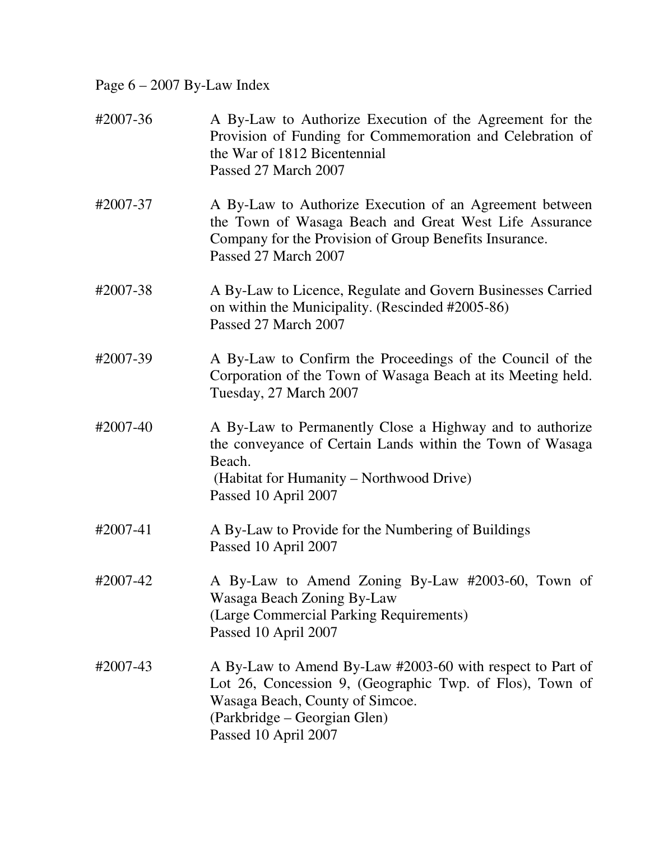Page 6 – 2007 By-Law Index

| #2007-36 | A By-Law to Authorize Execution of the Agreement for the<br>Provision of Funding for Commemoration and Celebration of<br>the War of 1812 Bicentennial<br>Passed 27 March 2007                                    |
|----------|------------------------------------------------------------------------------------------------------------------------------------------------------------------------------------------------------------------|
| #2007-37 | A By-Law to Authorize Execution of an Agreement between<br>the Town of Wasaga Beach and Great West Life Assurance<br>Company for the Provision of Group Benefits Insurance.<br>Passed 27 March 2007              |
| #2007-38 | A By-Law to Licence, Regulate and Govern Businesses Carried<br>on within the Municipality. (Rescinded #2005-86)<br>Passed 27 March 2007                                                                          |
| #2007-39 | A By-Law to Confirm the Proceedings of the Council of the<br>Corporation of the Town of Wasaga Beach at its Meeting held.<br>Tuesday, 27 March 2007                                                              |
| #2007-40 | A By-Law to Permanently Close a Highway and to authorize<br>the conveyance of Certain Lands within the Town of Wasaga<br>Beach.<br>(Habitat for Humanity – Northwood Drive)<br>Passed 10 April 2007              |
| #2007-41 | A By-Law to Provide for the Numbering of Buildings<br>Passed 10 April 2007                                                                                                                                       |
| #2007-42 | A By-Law to Amend Zoning By-Law #2003-60, Town of<br>Wasaga Beach Zoning By-Law<br>(Large Commercial Parking Requirements)<br>Passed 10 April 2007                                                               |
| #2007-43 | A By-Law to Amend By-Law #2003-60 with respect to Part of<br>Lot 26, Concession 9, (Geographic Twp. of Flos), Town of<br>Wasaga Beach, County of Simcoe.<br>(Parkbridge – Georgian Glen)<br>Passed 10 April 2007 |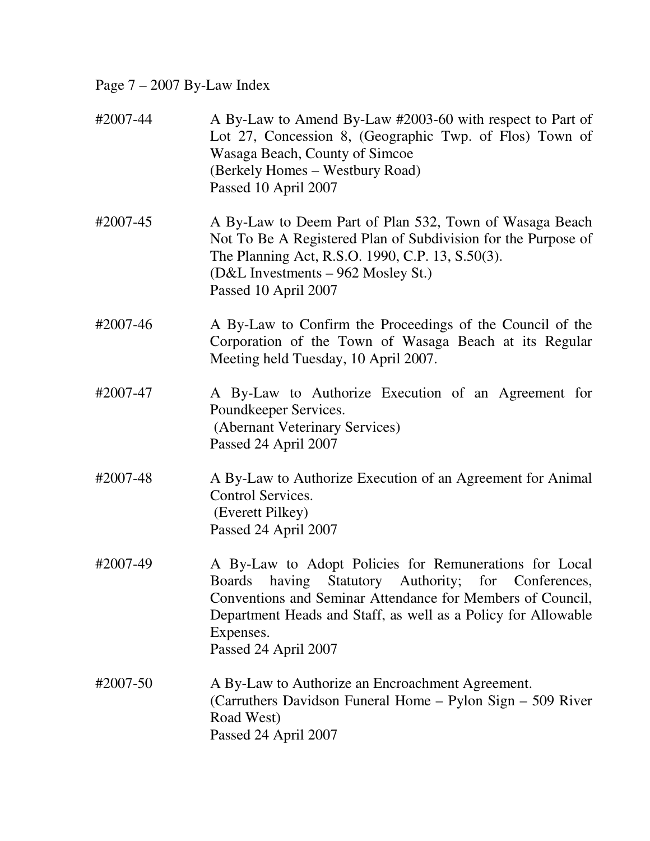## Page 7 – 2007 By-Law Index

| #2007-44 | A By-Law to Amend By-Law #2003-60 with respect to Part of<br>Lot 27, Concession 8, (Geographic Twp. of Flos) Town of<br>Wasaga Beach, County of Simcoe<br>(Berkely Homes – Westbury Road)<br>Passed 10 April 2007                                                                              |
|----------|------------------------------------------------------------------------------------------------------------------------------------------------------------------------------------------------------------------------------------------------------------------------------------------------|
| #2007-45 | A By-Law to Deem Part of Plan 532, Town of Wasaga Beach<br>Not To Be A Registered Plan of Subdivision for the Purpose of<br>The Planning Act, R.S.O. 1990, C.P. 13, S.50(3).<br>(D&L Investments – 962 Mosley St.)<br>Passed 10 April 2007                                                     |
| #2007-46 | A By-Law to Confirm the Proceedings of the Council of the<br>Corporation of the Town of Wasaga Beach at its Regular<br>Meeting held Tuesday, 10 April 2007.                                                                                                                                    |
| #2007-47 | A By-Law to Authorize Execution of an Agreement for<br>Poundkeeper Services.<br>(Abernant Veterinary Services)<br>Passed 24 April 2007                                                                                                                                                         |
| #2007-48 | A By-Law to Authorize Execution of an Agreement for Animal<br>Control Services.<br>(Everett Pilkey)<br>Passed 24 April 2007                                                                                                                                                                    |
| #2007-49 | A By-Law to Adopt Policies for Remunerations for Local<br><b>Boards</b><br>Statutory Authority; for Conferences,<br>having<br>Conventions and Seminar Attendance for Members of Council,<br>Department Heads and Staff, as well as a Policy for Allowable<br>Expenses.<br>Passed 24 April 2007 |
| #2007-50 | A By-Law to Authorize an Encroachment Agreement.<br>(Carruthers Davidson Funeral Home – Pylon Sign – 509 River<br>Road West)<br>Passed 24 April 2007                                                                                                                                           |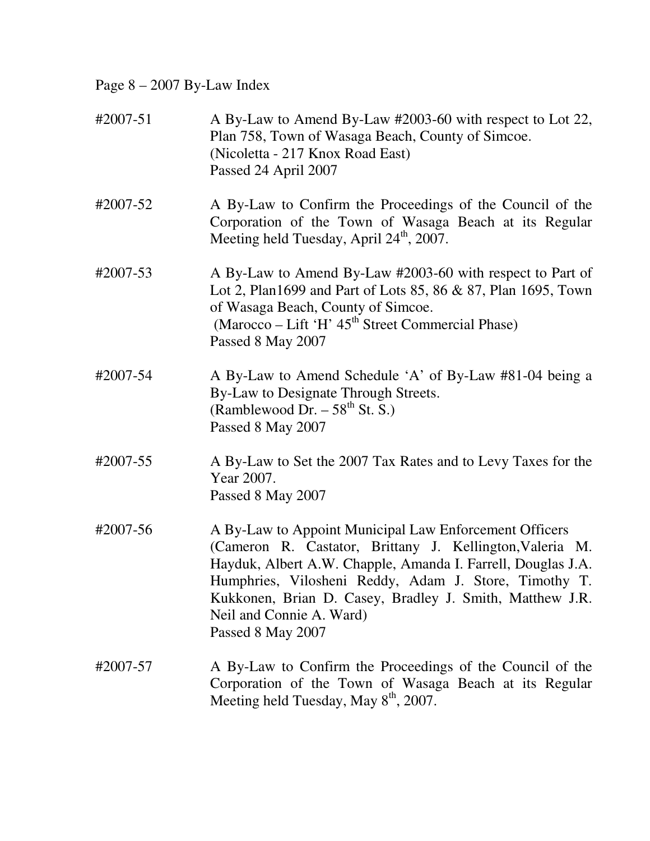Page 8 – 2007 By-Law Index

| #2007-51 | A By-Law to Amend By-Law #2003-60 with respect to Lot 22,<br>Plan 758, Town of Wasaga Beach, County of Simcoe.<br>(Nicoletta - 217 Knox Road East)<br>Passed 24 April 2007                                                                                                                                                                               |
|----------|----------------------------------------------------------------------------------------------------------------------------------------------------------------------------------------------------------------------------------------------------------------------------------------------------------------------------------------------------------|
| #2007-52 | A By-Law to Confirm the Proceedings of the Council of the<br>Corporation of the Town of Wasaga Beach at its Regular<br>Meeting held Tuesday, April 24 <sup>th</sup> , 2007.                                                                                                                                                                              |
| #2007-53 | A By-Law to Amend By-Law #2003-60 with respect to Part of<br>Lot 2, Plan1699 and Part of Lots 85, 86 & 87, Plan 1695, Town<br>of Wasaga Beach, County of Simcoe.<br>(Marocco – Lift 'H' 45 <sup>th</sup> Street Commercial Phase)<br>Passed 8 May 2007                                                                                                   |
| #2007-54 | A By-Law to Amend Schedule 'A' of By-Law #81-04 being a<br>By-Law to Designate Through Streets.<br>(Ramblewood Dr. $-58^{th}$ St. S.)<br>Passed 8 May 2007                                                                                                                                                                                               |
| #2007-55 | A By-Law to Set the 2007 Tax Rates and to Levy Taxes for the<br>Year 2007.<br>Passed 8 May 2007                                                                                                                                                                                                                                                          |
| #2007-56 | A By-Law to Appoint Municipal Law Enforcement Officers<br>(Cameron R. Castator, Brittany J. Kellington, Valeria M.<br>Hayduk, Albert A.W. Chapple, Amanda I. Farrell, Douglas J.A.<br>Humphries, Vilosheni Reddy, Adam J. Store, Timothy T.<br>Kukkonen, Brian D. Casey, Bradley J. Smith, Matthew J.R.<br>Neil and Connie A. Ward)<br>Passed 8 May 2007 |
| #2007-57 | A By-Law to Confirm the Proceedings of the Council of the<br>Corporation of the Town of Wasaga Beach at its Regular<br>Meeting held Tuesday, May 8 <sup>th</sup> , 2007.                                                                                                                                                                                 |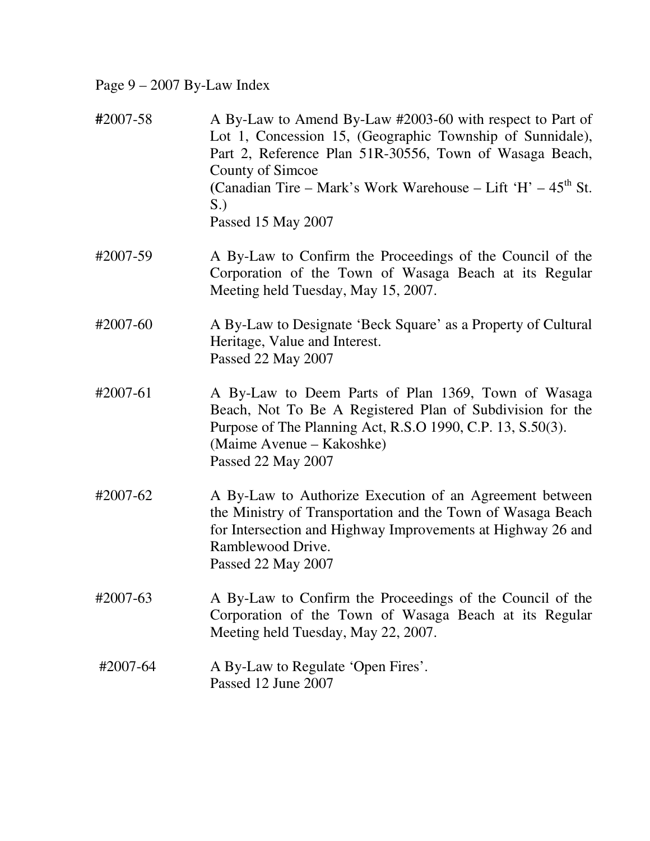## Page 9 – 2007 By-Law Index

- **#**2007-58 A By-Law to Amend By-Law #2003-60 with respect to Part of Lot 1, Concession 15, (Geographic Township of Sunnidale), Part 2, Reference Plan 51R-30556, Town of Wasaga Beach, County of Simcoe **(Canadian Tire – Mark's Work Warehouse – Lift 'H' –**  $45<sup>th</sup>$  **St.** S.) Passed 15 May 2007
- #2007-59 A By-Law to Confirm the Proceedings of the Council of the Corporation of the Town of Wasaga Beach at its Regular Meeting held Tuesday, May 15, 2007.
- #2007-60 A By-Law to Designate 'Beck Square' as a Property of Cultural Heritage, Value and Interest. Passed 22 May 2007
- #2007-61 A By-Law to Deem Parts of Plan 1369, Town of Wasaga Beach, Not To Be A Registered Plan of Subdivision for the Purpose of The Planning Act, R.S.O 1990, C.P. 13, S.50(3). (Maime Avenue – Kakoshke) Passed 22 May 2007
- #2007-62 A By-Law to Authorize Execution of an Agreement between the Ministry of Transportation and the Town of Wasaga Beach for Intersection and Highway Improvements at Highway 26 and Ramblewood Drive. Passed 22 May 2007
- #2007-63 A By-Law to Confirm the Proceedings of the Council of the Corporation of the Town of Wasaga Beach at its Regular Meeting held Tuesday, May 22, 2007.
- #2007-64 A By-Law to Regulate 'Open Fires'. Passed 12 June 2007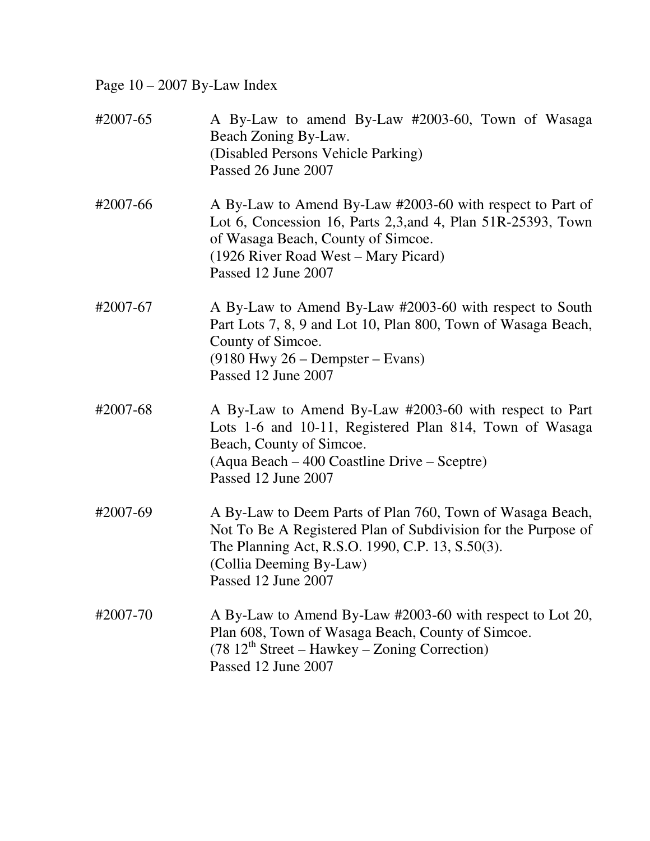Page 10 – 2007 By-Law Index

| #2007-65 | A By-Law to amend By-Law #2003-60, Town of Wasaga<br>Beach Zoning By-Law.<br>(Disabled Persons Vehicle Parking)<br>Passed 26 June 2007                                                                                           |
|----------|----------------------------------------------------------------------------------------------------------------------------------------------------------------------------------------------------------------------------------|
| #2007-66 | A By-Law to Amend By-Law #2003-60 with respect to Part of<br>Lot 6, Concession 16, Parts 2,3, and 4, Plan 51R-25393, Town<br>of Wasaga Beach, County of Simcoe.<br>(1926 River Road West – Mary Picard)<br>Passed 12 June 2007   |
| #2007-67 | A By-Law to Amend By-Law #2003-60 with respect to South<br>Part Lots 7, 8, 9 and Lot 10, Plan 800, Town of Wasaga Beach,<br>County of Simcoe.<br>$(9180$ Hwy 26 – Dempster – Evans)<br>Passed 12 June 2007                       |
| #2007-68 | A By-Law to Amend By-Law #2003-60 with respect to Part<br>Lots 1-6 and 10-11, Registered Plan 814, Town of Wasaga<br>Beach, County of Simcoe.<br>(Aqua Beach – 400 Coastline Drive – Sceptre)<br>Passed 12 June 2007             |
| #2007-69 | A By-Law to Deem Parts of Plan 760, Town of Wasaga Beach,<br>Not To Be A Registered Plan of Subdivision for the Purpose of<br>The Planning Act, R.S.O. 1990, C.P. 13, S.50(3).<br>(Collia Deeming By-Law)<br>Passed 12 June 2007 |
| #2007-70 | A By-Law to Amend By-Law #2003-60 with respect to Lot 20,<br>Plan 608, Town of Wasaga Beach, County of Simcoe.<br>$(78.12^{\text{th}} \text{ Street} - \text{Hawkey} - \text{Zoning Correction})$<br>Passed 12 June 2007         |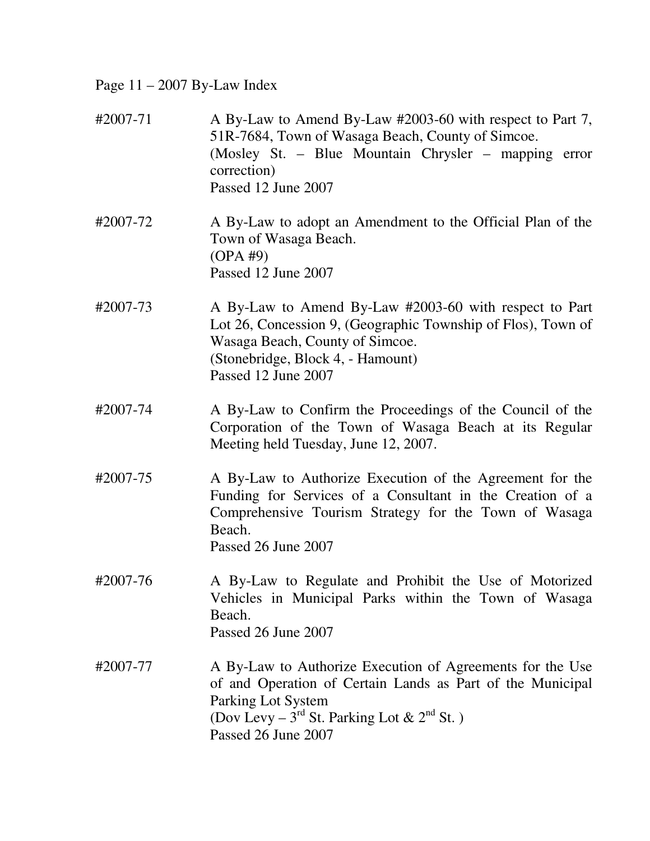Page 11 – 2007 By-Law Index

| #2007-71 | A By-Law to Amend By-Law #2003-60 with respect to Part 7,<br>51R-7684, Town of Wasaga Beach, County of Simcoe.<br>(Mosley St. – Blue Mountain Chrysler – mapping error<br>correction)<br>Passed 12 June 2007                               |
|----------|--------------------------------------------------------------------------------------------------------------------------------------------------------------------------------------------------------------------------------------------|
| #2007-72 | A By-Law to adopt an Amendment to the Official Plan of the<br>Town of Wasaga Beach.<br>$OPA \#9$<br>Passed 12 June 2007                                                                                                                    |
| #2007-73 | A By-Law to Amend By-Law #2003-60 with respect to Part<br>Lot 26, Concession 9, (Geographic Township of Flos), Town of<br>Wasaga Beach, County of Simcoe.<br>(Stonebridge, Block 4, - Hamount)<br>Passed 12 June 2007                      |
| #2007-74 | A By-Law to Confirm the Proceedings of the Council of the<br>Corporation of the Town of Wasaga Beach at its Regular<br>Meeting held Tuesday, June 12, 2007.                                                                                |
| #2007-75 | A By-Law to Authorize Execution of the Agreement for the<br>Funding for Services of a Consultant in the Creation of a<br>Comprehensive Tourism Strategy for the Town of Wasaga<br>Beach.<br>Passed 26 June 2007                            |
| #2007-76 | A By-Law to Regulate and Prohibit the Use of Motorized<br>Vehicles in Municipal Parks within the Town of Wasaga<br>Beach.<br>Passed 26 June 2007                                                                                           |
| #2007-77 | A By-Law to Authorize Execution of Agreements for the Use<br>of and Operation of Certain Lands as Part of the Municipal<br>Parking Lot System<br>(Dov Levy – 3 <sup>rd</sup> St. Parking Lot & 2 <sup>nd</sup> St.)<br>Passed 26 June 2007 |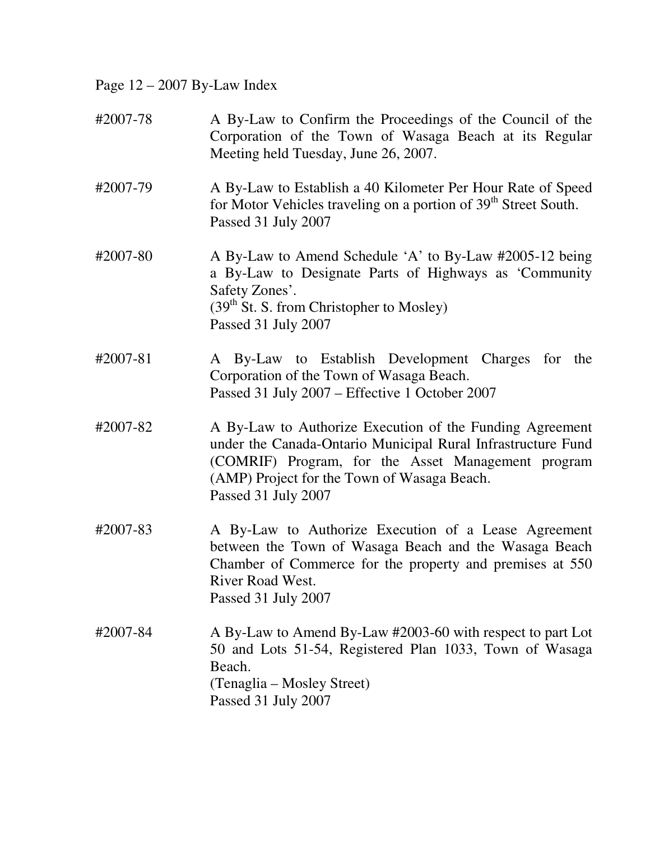Page 12 – 2007 By-Law Index

| #2007-78 | A By-Law to Confirm the Proceedings of the Council of the<br>Corporation of the Town of Wasaga Beach at its Regular<br>Meeting held Tuesday, June 26, 2007.                                                                                          |
|----------|------------------------------------------------------------------------------------------------------------------------------------------------------------------------------------------------------------------------------------------------------|
| #2007-79 | A By-Law to Establish a 40 Kilometer Per Hour Rate of Speed<br>for Motor Vehicles traveling on a portion of 39 <sup>th</sup> Street South.<br>Passed 31 July 2007                                                                                    |
| #2007-80 | A By-Law to Amend Schedule 'A' to By-Law #2005-12 being<br>a By-Law to Designate Parts of Highways as 'Community<br>Safety Zones'.<br>$(39th$ St. S. from Christopher to Mosley)<br>Passed 31 July 2007                                              |
| #2007-81 | A By-Law to Establish Development Charges for the<br>Corporation of the Town of Wasaga Beach.<br>Passed 31 July 2007 - Effective 1 October 2007                                                                                                      |
| #2007-82 | A By-Law to Authorize Execution of the Funding Agreement<br>under the Canada-Ontario Municipal Rural Infrastructure Fund<br>(COMRIF) Program, for the Asset Management program<br>(AMP) Project for the Town of Wasaga Beach.<br>Passed 31 July 2007 |
| #2007-83 | A By-Law to Authorize Execution of a Lease Agreement<br>between the Town of Wasaga Beach and the Wasaga Beach<br>Chamber of Commerce for the property and premises at 550<br>River Road West.<br>Passed 31 July 2007                                 |
| #2007-84 | A By-Law to Amend By-Law #2003-60 with respect to part Lot<br>50 and Lots 51-54, Registered Plan 1033, Town of Wasaga<br>Beach.<br>(Tenaglia – Mosley Street)<br>Passed 31 July 2007                                                                 |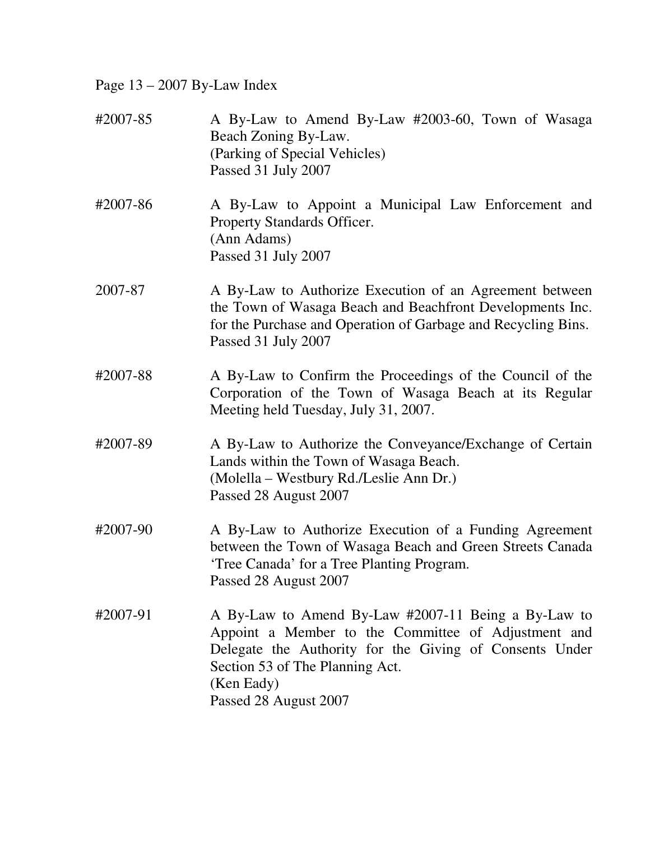Page 13 – 2007 By-Law Index

| #2007-85 | A By-Law to Amend By-Law #2003-60, Town of Wasaga<br>Beach Zoning By-Law.<br>(Parking of Special Vehicles)<br>Passed 31 July 2007                                                                                                               |
|----------|-------------------------------------------------------------------------------------------------------------------------------------------------------------------------------------------------------------------------------------------------|
| #2007-86 | A By-Law to Appoint a Municipal Law Enforcement and<br>Property Standards Officer.<br>(Ann Adams)<br>Passed 31 July 2007                                                                                                                        |
| 2007-87  | A By-Law to Authorize Execution of an Agreement between<br>the Town of Wasaga Beach and Beachfront Developments Inc.<br>for the Purchase and Operation of Garbage and Recycling Bins.<br>Passed 31 July 2007                                    |
| #2007-88 | A By-Law to Confirm the Proceedings of the Council of the<br>Corporation of the Town of Wasaga Beach at its Regular<br>Meeting held Tuesday, July 31, 2007.                                                                                     |
| #2007-89 | A By-Law to Authorize the Conveyance/Exchange of Certain<br>Lands within the Town of Wasaga Beach.<br>(Molella – Westbury Rd./Leslie Ann Dr.)<br>Passed 28 August 2007                                                                          |
| #2007-90 | A By-Law to Authorize Execution of a Funding Agreement<br>between the Town of Wasaga Beach and Green Streets Canada<br>'Tree Canada' for a Tree Planting Program.<br>Passed 28 August 2007                                                      |
| #2007-91 | A By-Law to Amend By-Law #2007-11 Being a By-Law to<br>Appoint a Member to the Committee of Adjustment and<br>Delegate the Authority for the Giving of Consents Under<br>Section 53 of The Planning Act.<br>(Ken Eady)<br>Passed 28 August 2007 |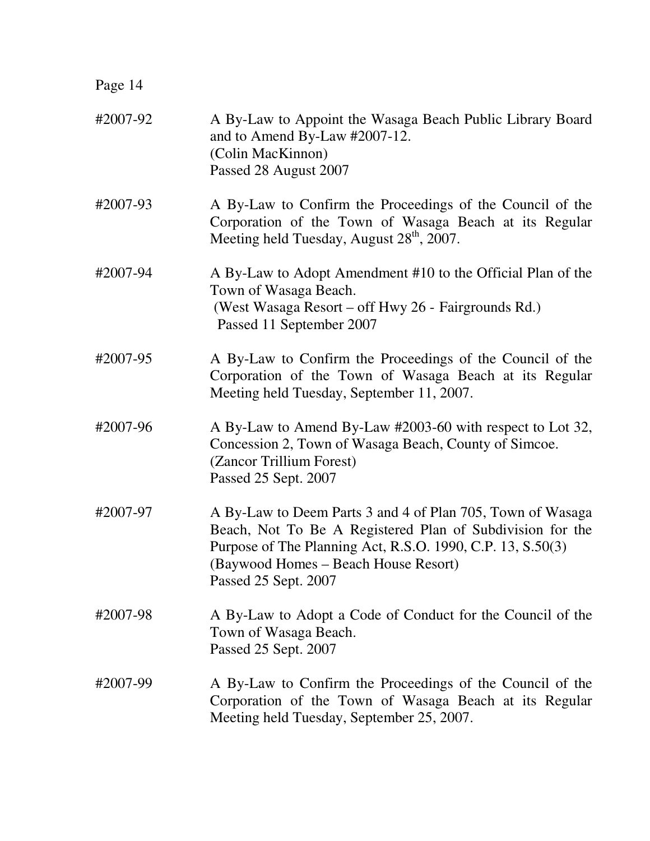| Page 14  |                                                                                                                                                                                                                                                       |
|----------|-------------------------------------------------------------------------------------------------------------------------------------------------------------------------------------------------------------------------------------------------------|
| #2007-92 | A By-Law to Appoint the Wasaga Beach Public Library Board<br>and to Amend By-Law #2007-12.<br>(Colin MacKinnon)<br>Passed 28 August 2007                                                                                                              |
| #2007-93 | A By-Law to Confirm the Proceedings of the Council of the<br>Corporation of the Town of Wasaga Beach at its Regular<br>Meeting held Tuesday, August 28 <sup>th</sup> , 2007.                                                                          |
| #2007-94 | A By-Law to Adopt Amendment #10 to the Official Plan of the<br>Town of Wasaga Beach.<br>(West Wasaga Resort – off Hwy 26 - Fairgrounds Rd.)<br>Passed 11 September 2007                                                                               |
| #2007-95 | A By-Law to Confirm the Proceedings of the Council of the<br>Corporation of the Town of Wasaga Beach at its Regular<br>Meeting held Tuesday, September 11, 2007.                                                                                      |
| #2007-96 | A By-Law to Amend By-Law #2003-60 with respect to Lot 32,<br>Concession 2, Town of Wasaga Beach, County of Simcoe.<br>(Zancor Trillium Forest)<br>Passed 25 Sept. 2007                                                                                |
| #2007-97 | A By-Law to Deem Parts 3 and 4 of Plan 705, Town of Wasaga<br>Beach, Not To Be A Registered Plan of Subdivision for the<br>Purpose of The Planning Act, R.S.O. 1990, C.P. 13, S.50(3)<br>(Baywood Homes – Beach House Resort)<br>Passed 25 Sept. 2007 |
| #2007-98 | A By-Law to Adopt a Code of Conduct for the Council of the<br>Town of Wasaga Beach.<br>Passed 25 Sept. 2007                                                                                                                                           |
| #2007-99 | A By-Law to Confirm the Proceedings of the Council of the<br>Corporation of the Town of Wasaga Beach at its Regular<br>Meeting held Tuesday, September 25, 2007.                                                                                      |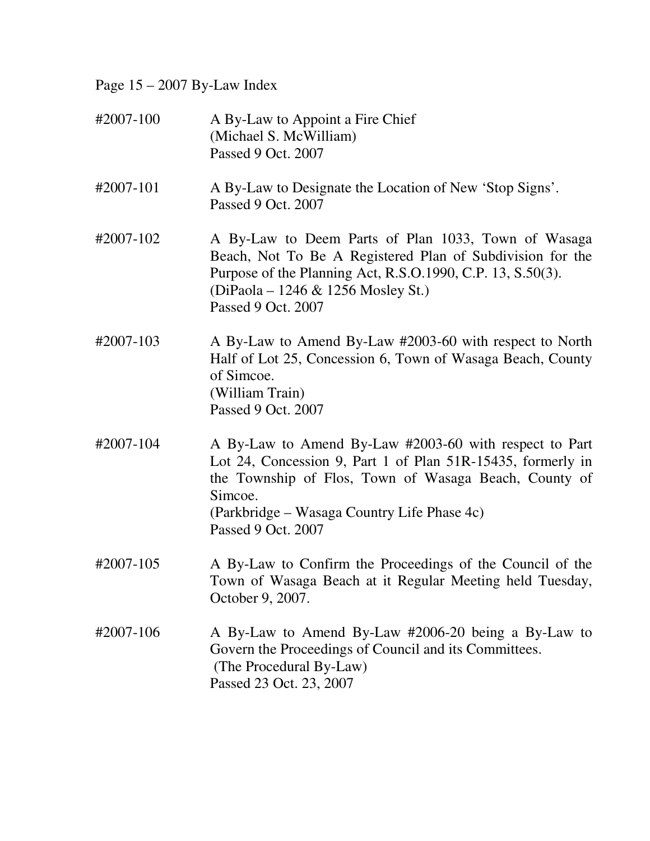Page 15 – 2007 By-Law Index

| #2007-100 | A By-Law to Appoint a Fire Chief<br>(Michael S. McWilliam)<br>Passed 9 Oct. 2007                                                                                                                                                                               |
|-----------|----------------------------------------------------------------------------------------------------------------------------------------------------------------------------------------------------------------------------------------------------------------|
| #2007-101 | A By-Law to Designate the Location of New 'Stop Signs'.<br>Passed 9 Oct. 2007                                                                                                                                                                                  |
| #2007-102 | A By-Law to Deem Parts of Plan 1033, Town of Wasaga<br>Beach, Not To Be A Registered Plan of Subdivision for the<br>Purpose of the Planning Act, R.S.O.1990, C.P. 13, S.50(3).<br>(DiPaola – 1246 & 1256 Mosley St.)<br>Passed 9 Oct. 2007                     |
| #2007-103 | A By-Law to Amend By-Law #2003-60 with respect to North<br>Half of Lot 25, Concession 6, Town of Wasaga Beach, County<br>of Simcoe.<br>(William Train)<br>Passed 9 Oct. 2007                                                                                   |
| #2007-104 | A By-Law to Amend By-Law #2003-60 with respect to Part<br>Lot 24, Concession 9, Part 1 of Plan 51R-15435, formerly in<br>the Township of Flos, Town of Wasaga Beach, County of<br>Simcoe.<br>(Parkbridge – Wasaga Country Life Phase 4c)<br>Passed 9 Oct. 2007 |
| #2007-105 | A By-Law to Confirm the Proceedings of the Council of the<br>Town of Wasaga Beach at it Regular Meeting held Tuesday,<br>October 9, 2007.                                                                                                                      |
| #2007-106 | A By-Law to Amend By-Law #2006-20 being a By-Law to<br>Govern the Proceedings of Council and its Committees.<br>(The Procedural By-Law)<br>Passed 23 Oct. 23, 2007                                                                                             |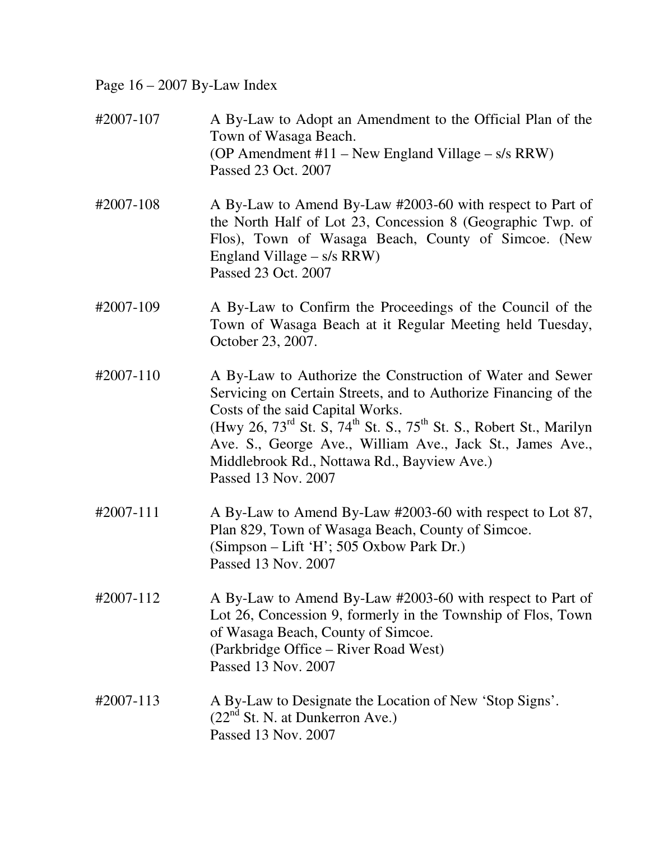Page 16 – 2007 By-Law Index

| #2007-107 | A By-Law to Adopt an Amendment to the Official Plan of the<br>Town of Wasaga Beach.<br>(OP Amendment $#11$ – New England Village – s/s RRW)<br>Passed 23 Oct. 2007                                                                                                                                                                                                                                            |
|-----------|---------------------------------------------------------------------------------------------------------------------------------------------------------------------------------------------------------------------------------------------------------------------------------------------------------------------------------------------------------------------------------------------------------------|
| #2007-108 | A By-Law to Amend By-Law #2003-60 with respect to Part of<br>the North Half of Lot 23, Concession 8 (Geographic Twp. of<br>Flos), Town of Wasaga Beach, County of Simcoe. (New<br>England Village $- s/s$ RRW)<br>Passed 23 Oct. 2007                                                                                                                                                                         |
| #2007-109 | A By-Law to Confirm the Proceedings of the Council of the<br>Town of Wasaga Beach at it Regular Meeting held Tuesday,<br>October 23, 2007.                                                                                                                                                                                                                                                                    |
| #2007-110 | A By-Law to Authorize the Construction of Water and Sewer<br>Servicing on Certain Streets, and to Authorize Financing of the<br>Costs of the said Capital Works.<br>(Hwy 26, $73^{\text{rd}}$ St. S, $74^{\text{th}}$ St. S., $75^{\text{th}}$ St. S., Robert St., Marilyn<br>Ave. S., George Ave., William Ave., Jack St., James Ave.,<br>Middlebrook Rd., Nottawa Rd., Bayview Ave.)<br>Passed 13 Nov. 2007 |
| #2007-111 | A By-Law to Amend By-Law #2003-60 with respect to Lot 87,<br>Plan 829, Town of Wasaga Beach, County of Simcoe.<br>(Simpson – Lift 'H'; 505 Oxbow Park Dr.)<br>Passed 13 Nov. 2007                                                                                                                                                                                                                             |
| #2007-112 | A By-Law to Amend By-Law #2003-60 with respect to Part of<br>Lot 26, Concession 9, formerly in the Township of Flos, Town<br>of Wasaga Beach, County of Simcoe.<br>(Parkbridge Office – River Road West)<br>Passed 13 Nov. 2007                                                                                                                                                                               |
| #2007-113 | A By-Law to Designate the Location of New 'Stop Signs'.<br>$(22nd$ St. N. at Dunkerron Ave.)<br>Passed 13 Nov. 2007                                                                                                                                                                                                                                                                                           |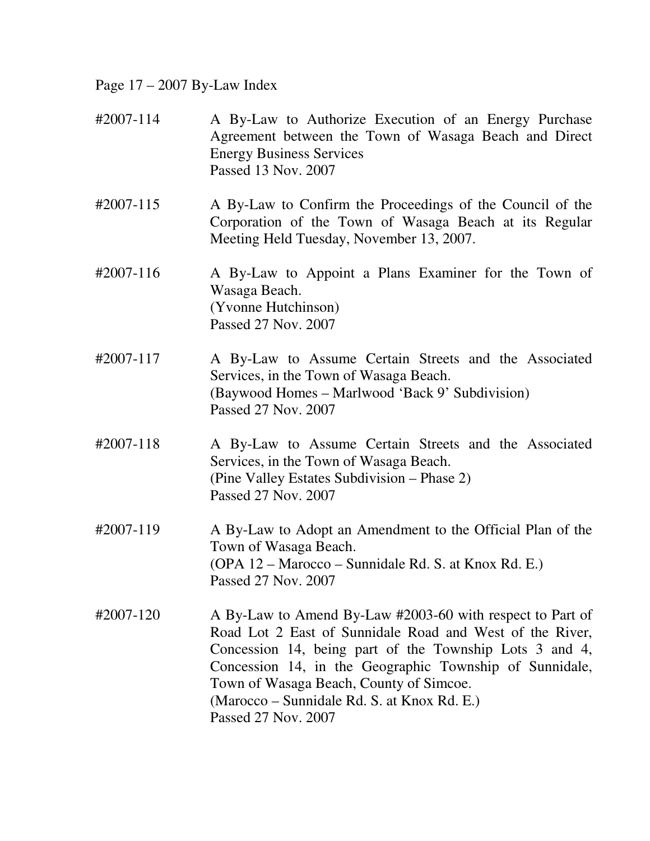Page 17 – 2007 By-Law Index

- #2007-114 A By-Law to Authorize Execution of an Energy Purchase Agreement between the Town of Wasaga Beach and Direct Energy Business Services Passed 13 Nov. 2007
- #2007-115 A By-Law to Confirm the Proceedings of the Council of the Corporation of the Town of Wasaga Beach at its Regular Meeting Held Tuesday, November 13, 2007.
- #2007-116 A By-Law to Appoint a Plans Examiner for the Town of Wasaga Beach. (Yvonne Hutchinson) Passed 27 Nov. 2007
- #2007-117 A By-Law to Assume Certain Streets and the Associated Services, in the Town of Wasaga Beach. (Baywood Homes – Marlwood 'Back 9' Subdivision) Passed 27 Nov. 2007
- #2007-118 A By-Law to Assume Certain Streets and the Associated Services, in the Town of Wasaga Beach. (Pine Valley Estates Subdivision – Phase 2) Passed 27 Nov. 2007
- #2007-119 A By-Law to Adopt an Amendment to the Official Plan of the Town of Wasaga Beach. (OPA 12 – Marocco – Sunnidale Rd. S. at Knox Rd. E.) Passed 27 Nov. 2007
- #2007-120 A By-Law to Amend By-Law #2003-60 with respect to Part of Road Lot 2 East of Sunnidale Road and West of the River, Concession 14, being part of the Township Lots 3 and 4, Concession 14, in the Geographic Township of Sunnidale, Town of Wasaga Beach, County of Simcoe. (Marocco – Sunnidale Rd. S. at Knox Rd. E.) Passed 27 Nov. 2007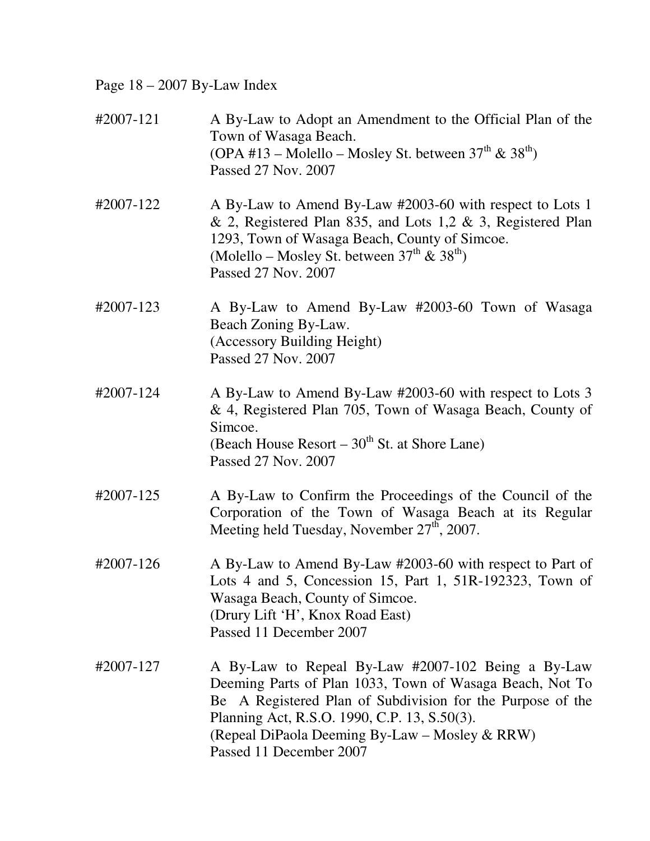Page 18 – 2007 By-Law Index

| #2007-121 | A By-Law to Adopt an Amendment to the Official Plan of the<br>Town of Wasaga Beach.<br>(OPA #13 – Molello – Mosley St. between $37^{th}$ & $38^{th}$ )<br>Passed 27 Nov. 2007                                                                                                                             |
|-----------|-----------------------------------------------------------------------------------------------------------------------------------------------------------------------------------------------------------------------------------------------------------------------------------------------------------|
| #2007-122 | A By-Law to Amend By-Law #2003-60 with respect to Lots 1<br>& 2, Registered Plan 835, and Lots 1,2 & 3, Registered Plan<br>1293, Town of Wasaga Beach, County of Simcoe.<br>(Molello – Mosley St. between $37^{\text{th}}$ & $38^{\text{th}}$ )<br>Passed 27 Nov. 2007                                    |
| #2007-123 | A By-Law to Amend By-Law #2003-60 Town of Wasaga<br>Beach Zoning By-Law.<br>(Accessory Building Height)<br>Passed 27 Nov. 2007                                                                                                                                                                            |
| #2007-124 | A By-Law to Amend By-Law #2003-60 with respect to Lots 3<br>& 4, Registered Plan 705, Town of Wasaga Beach, County of<br>Simcoe.<br>(Beach House Resort – 30 <sup>th</sup> St. at Shore Lane)<br>Passed 27 Nov. 2007                                                                                      |
| #2007-125 | A By-Law to Confirm the Proceedings of the Council of the<br>Corporation of the Town of Wasaga Beach at its Regular<br>Meeting held Tuesday, November 27 <sup>th</sup> , 2007.                                                                                                                            |
| #2007-126 | A By-Law to Amend By-Law #2003-60 with respect to Part of<br>Lots 4 and 5, Concession 15, Part 1, 51R-192323, Town of<br>Wasaga Beach, County of Simcoe.<br>(Drury Lift 'H', Knox Road East)<br>Passed 11 December 2007                                                                                   |
| #2007-127 | A By-Law to Repeal By-Law #2007-102 Being a By-Law<br>Deeming Parts of Plan 1033, Town of Wasaga Beach, Not To<br>Be A Registered Plan of Subdivision for the Purpose of the<br>Planning Act, R.S.O. 1990, C.P. 13, S.50(3).<br>(Repeal DiPaola Deeming By-Law – Mosley & RRW)<br>Passed 11 December 2007 |